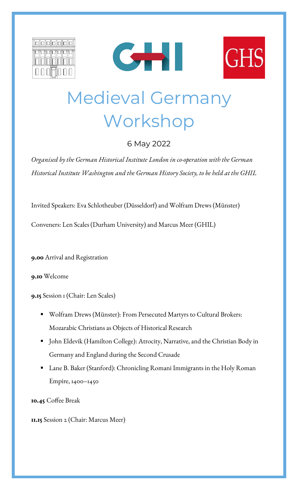





# Medieval Germany Workshop

## 6 May 2022

*Organised by the German Historical Institute London in co-operation with the German Historical Institute Washington and the German History Society, to be held at the GHIL*

Invited Speakers: Eva Schlotheuber (Düsseldorf) and Wolfram Drews (Münster)

Conveners: Len Scales (Durham University) and Marcus Meer (GHIL)

**9.00** Arrival and Registration

**9.10** Welcome

**9.15** Session 1 (Chair: Len Scales)

- Wolfram Drews (Münster): From Persecuted Martyrs to Cultural Brokers: Mozarabic Christians as Objects of Historical Research
- John Eldevik (Hamilton College): Atrocity, Narrative, and the Christian Body in Germany and England during the Second Crusade
- Lane B. Baker (Stanford): Chronicling Romani Immigrants in the Holy Roman Empire, 1400–1450

**10.45** Coffee Break

**11.15** Session 2 (Chair: Marcus Meer)